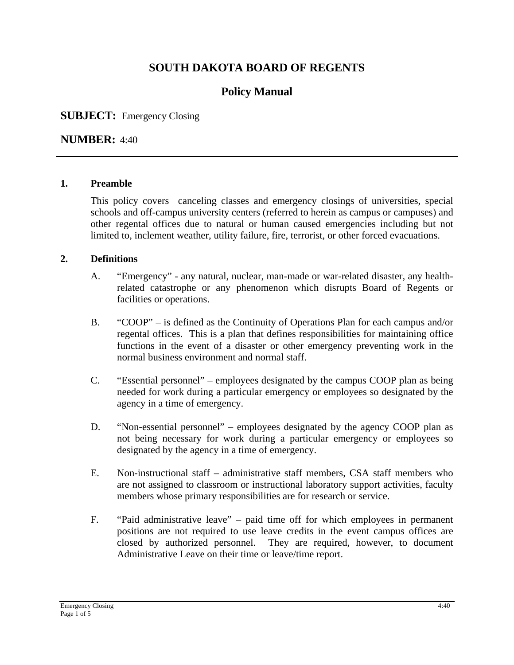# **SOUTH DAKOTA BOARD OF REGENTS**

# **Policy Manual**

### **SUBJECT:** Emergency Closing

#### **NUMBER:** 4:40

#### **1. Preamble**

This policy covers canceling classes and emergency closings of universities, special schools and off-campus university centers (referred to herein as campus or campuses) and other regental offices due to natural or human caused emergencies including but not limited to, inclement weather, utility failure, fire, terrorist, or other forced evacuations.

#### **2. Definitions**

- A. "Emergency" any natural, nuclear, man-made or war-related disaster, any healthrelated catastrophe or any phenomenon which disrupts Board of Regents or facilities or operations.
- B. "COOP" is defined as the Continuity of Operations Plan for each campus and/or regental offices. This is a plan that defines responsibilities for maintaining office functions in the event of a disaster or other emergency preventing work in the normal business environment and normal staff.
- C. "Essential personnel" employees designated by the campus COOP plan as being needed for work during a particular emergency or employees so designated by the agency in a time of emergency.
- D. "Non-essential personnel" employees designated by the agency COOP plan as not being necessary for work during a particular emergency or employees so designated by the agency in a time of emergency.
- E. Non-instructional staff administrative staff members, CSA staff members who are not assigned to classroom or instructional laboratory support activities, faculty members whose primary responsibilities are for research or service.
- F. "Paid administrative leave" paid time off for which employees in permanent positions are not required to use leave credits in the event campus offices are closed by authorized personnel. They are required, however, to document Administrative Leave on their time or leave/time report.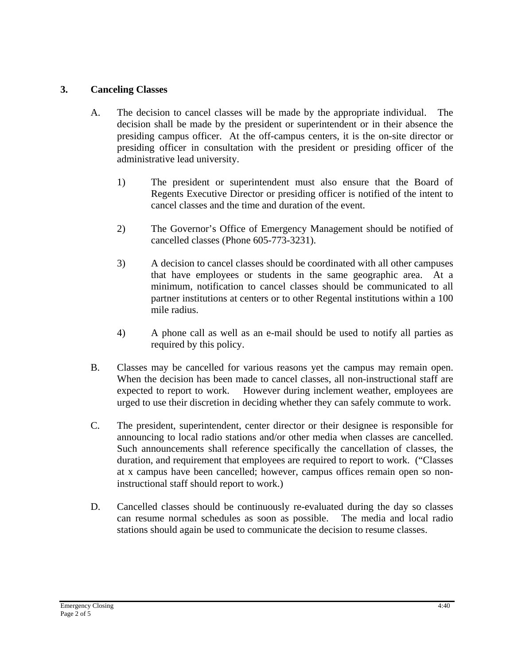#### **3. Canceling Classes**

- A. The decision to cancel classes will be made by the appropriate individual. The decision shall be made by the president or superintendent or in their absence the presiding campus officer. At the off-campus centers, it is the on-site director or presiding officer in consultation with the president or presiding officer of the administrative lead university.
	- 1) The president or superintendent must also ensure that the Board of Regents Executive Director or presiding officer is notified of the intent to cancel classes and the time and duration of the event.
	- 2) The Governor's Office of Emergency Management should be notified of cancelled classes (Phone 605-773-3231).
	- 3) A decision to cancel classes should be coordinated with all other campuses that have employees or students in the same geographic area. At a minimum, notification to cancel classes should be communicated to all partner institutions at centers or to other Regental institutions within a 100 mile radius.
	- 4) A phone call as well as an e-mail should be used to notify all parties as required by this policy.
- B. Classes may be cancelled for various reasons yet the campus may remain open. When the decision has been made to cancel classes, all non-instructional staff are expected to report to work. However during inclement weather, employees are urged to use their discretion in deciding whether they can safely commute to work.
- C. The president, superintendent, center director or their designee is responsible for announcing to local radio stations and/or other media when classes are cancelled. Such announcements shall reference specifically the cancellation of classes, the duration, and requirement that employees are required to report to work. ("Classes at x campus have been cancelled; however, campus offices remain open so noninstructional staff should report to work.)
- D. Cancelled classes should be continuously re-evaluated during the day so classes can resume normal schedules as soon as possible. The media and local radio stations should again be used to communicate the decision to resume classes.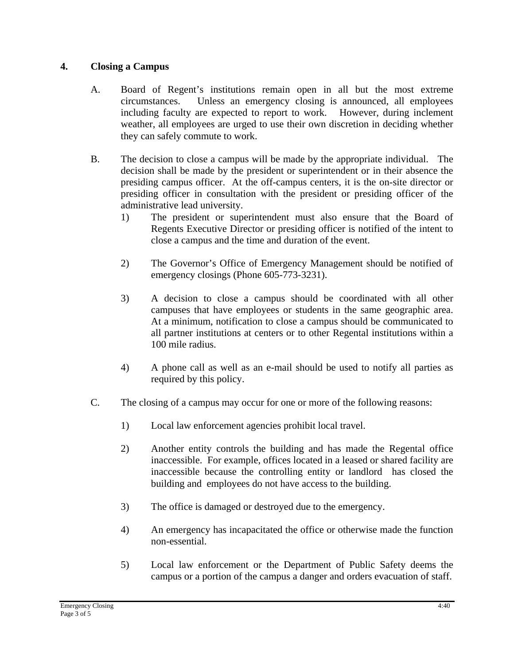### **4. Closing a Campus**

- A. Board of Regent's institutions remain open in all but the most extreme circumstances. Unless an emergency closing is announced, all employees including faculty are expected to report to work. However, during inclement weather, all employees are urged to use their own discretion in deciding whether they can safely commute to work.
- B. The decision to close a campus will be made by the appropriate individual. The decision shall be made by the president or superintendent or in their absence the presiding campus officer. At the off-campus centers, it is the on-site director or presiding officer in consultation with the president or presiding officer of the administrative lead university.
	- 1) The president or superintendent must also ensure that the Board of Regents Executive Director or presiding officer is notified of the intent to close a campus and the time and duration of the event.
	- 2) The Governor's Office of Emergency Management should be notified of emergency closings (Phone 605-773-3231).
	- 3) A decision to close a campus should be coordinated with all other campuses that have employees or students in the same geographic area. At a minimum, notification to close a campus should be communicated to all partner institutions at centers or to other Regental institutions within a 100 mile radius.
	- 4) A phone call as well as an e-mail should be used to notify all parties as required by this policy.
- C. The closing of a campus may occur for one or more of the following reasons:
	- 1) Local law enforcement agencies prohibit local travel.
	- 2) Another entity controls the building and has made the Regental office inaccessible. For example, offices located in a leased or shared facility are inaccessible because the controlling entity or landlord has closed the building and employees do not have access to the building.
	- 3) The office is damaged or destroyed due to the emergency.
	- 4) An emergency has incapacitated the office or otherwise made the function non-essential.
	- 5) Local law enforcement or the Department of Public Safety deems the campus or a portion of the campus a danger and orders evacuation of staff.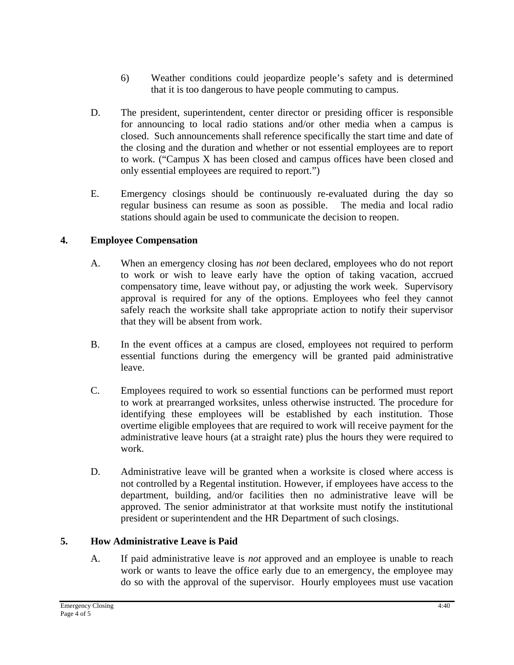- 6) Weather conditions could jeopardize people's safety and is determined that it is too dangerous to have people commuting to campus.
- D. The president, superintendent, center director or presiding officer is responsible for announcing to local radio stations and/or other media when a campus is closed. Such announcements shall reference specifically the start time and date of the closing and the duration and whether or not essential employees are to report to work. ("Campus X has been closed and campus offices have been closed and only essential employees are required to report.")
- E. Emergency closings should be continuously re-evaluated during the day so regular business can resume as soon as possible. The media and local radio stations should again be used to communicate the decision to reopen.

## **4. Employee Compensation**

- A. When an emergency closing has *not* been declared, employees who do not report to work or wish to leave early have the option of taking vacation, accrued compensatory time, leave without pay, or adjusting the work week. Supervisory approval is required for any of the options. Employees who feel they cannot safely reach the worksite shall take appropriate action to notify their supervisor that they will be absent from work.
- B. In the event offices at a campus are closed, employees not required to perform essential functions during the emergency will be granted paid administrative leave.
- C. Employees required to work so essential functions can be performed must report to work at prearranged worksites, unless otherwise instructed. The procedure for identifying these employees will be established by each institution. Those overtime eligible employees that are required to work will receive payment for the administrative leave hours (at a straight rate) plus the hours they were required to work.
- D. Administrative leave will be granted when a worksite is closed where access is not controlled by a Regental institution. However, if employees have access to the department, building, and/or facilities then no administrative leave will be approved. The senior administrator at that worksite must notify the institutional president or superintendent and the HR Department of such closings.

### **5. How Administrative Leave is Paid**

A. If paid administrative leave is *not* approved and an employee is unable to reach work or wants to leave the office early due to an emergency, the employee may do so with the approval of the supervisor. Hourly employees must use vacation